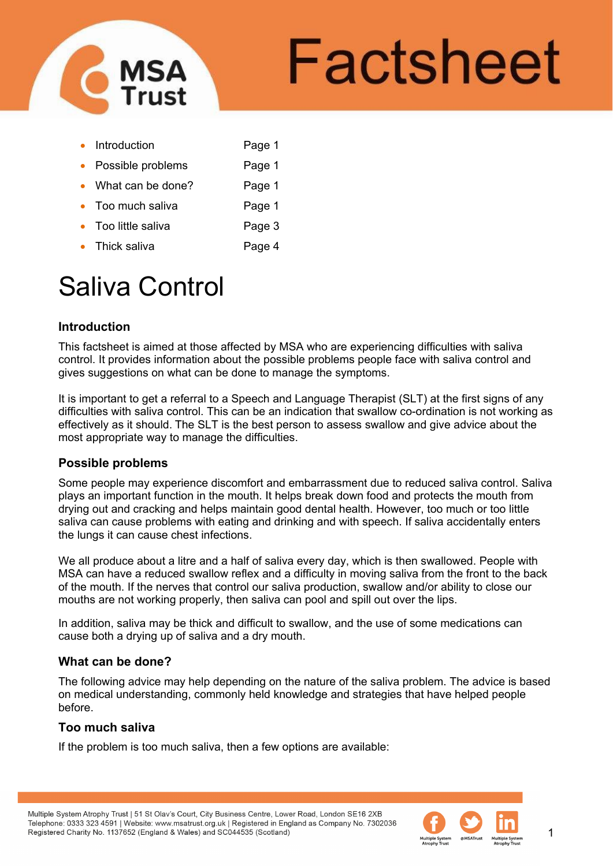

# Factsheet

- Introduction Page 1
- Possible problems Page 1
- What can be done? Page 1
- Too much saliva **Page 1**
- Too little saliva **Page 3**
- Thick saliva **Page 4**

# Saliva Control

# **Introduction**

This factsheet is aimed at those affected by MSA who are experiencing difficulties with saliva control. It provides information about the possible problems people face with saliva control and gives suggestions on what can be done to manage the symptoms.

It is important to get a referral to a Speech and Language Therapist (SLT) at the first signs of any difficulties with saliva control. This can be an indication that swallow co-ordination is not working as effectively as it should. The SLT is the best person to assess swallow and give advice about the most appropriate way to manage the difficulties.

# **Possible problems**

Some people may experience discomfort and embarrassment due to reduced saliva control. Saliva plays an important function in the mouth. It helps break down food and protects the mouth from drying out and cracking and helps maintain good dental health. However, too much or too little saliva can cause problems with eating and drinking and with speech. If saliva accidentally enters the lungs it can cause chest infections.

We all produce about a litre and a half of saliva every day, which is then swallowed. People with MSA can have a reduced swallow reflex and a difficulty in moving saliva from the front to the back of the mouth. If the nerves that control our saliva production, swallow and/or ability to close our mouths are not working properly, then saliva can pool and spill out over the lips.

In addition, saliva may be thick and difficult to swallow, and the use of some medications can cause both a drying up of saliva and a dry mouth.

# **What can be done?**

The following advice may help depending on the nature of the saliva problem. The advice is based on medical understanding, commonly held knowledge and strategies that have helped people before.

# **Too much saliva**

If the problem is too much saliva, then a few options are available:

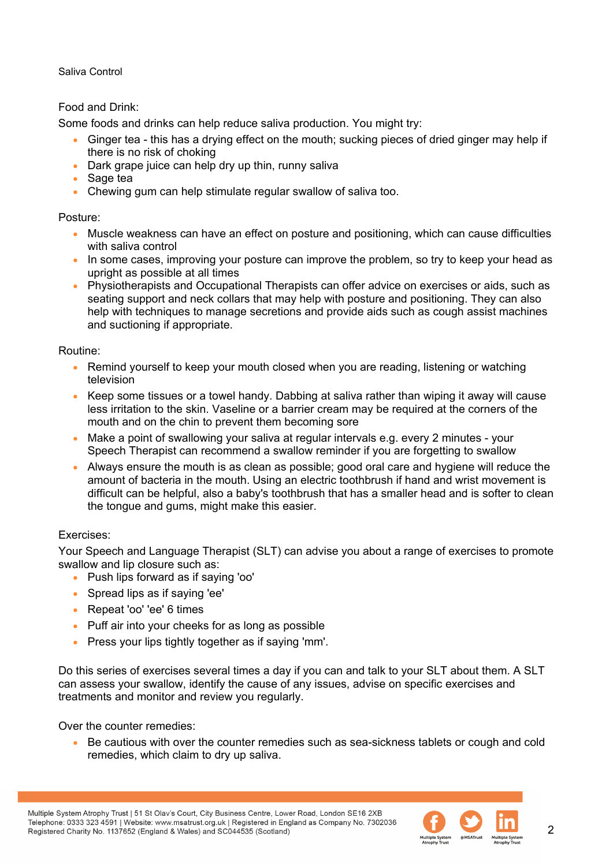# Food and Drink:

Some foods and drinks can help reduce saliva production. You might try:

- Ginger tea this has a drying effect on the mouth; sucking pieces of dried ginger may help if there is no risk of choking
- Dark grape juice can help dry up thin, runny saliva
- Sage tea
- Chewing gum can help stimulate regular swallow of saliva too.

#### Posture:

- Muscle weakness can have an effect on posture and positioning, which can cause difficulties with saliva control
- In some cases, improving your posture can improve the problem, so try to keep your head as upright as possible at all times
- Physiotherapists and Occupational Therapists can offer advice on exercises or aids, such as seating support and neck collars that may help with posture and positioning. They can also help with techniques to manage secretions and provide aids such as cough assist machines and suctioning if appropriate.

#### Routine:

- Remind yourself to keep your mouth closed when you are reading, listening or watching television
- Keep some tissues or a towel handy. Dabbing at saliva rather than wiping it away will cause less irritation to the skin. Vaseline or a barrier cream may be required at the corners of the mouth and on the chin to prevent them becoming sore
- Make a point of swallowing your saliva at regular intervals e.g. every 2 minutes your Speech Therapist can recommend a swallow reminder if you are forgetting to swallow
- Always ensure the mouth is as clean as possible; good oral care and hygiene will reduce the amount of bacteria in the mouth. Using an electric toothbrush if hand and wrist movement is difficult can be helpful, also a baby's toothbrush that has a smaller head and is softer to clean the tongue and gums, might make this easier.

#### Exercises:

Your Speech and Language Therapist (SLT) can advise you about a range of exercises to promote swallow and lip closure such as:

- Push lips forward as if saying 'oo'
- Spread lips as if saying 'ee'
- Repeat 'oo' 'ee' 6 times
- Puff air into your cheeks for as long as possible
- Press your lips tightly together as if saying 'mm'.

Do this series of exercises several times a day if you can and talk to your SLT about them. A SLT can assess your swallow, identify the cause of any issues, advise on specific exercises and treatments and monitor and review you regularly.

Over the counter remedies:

• Be cautious with over the counter remedies such as sea-sickness tablets or cough and cold remedies, which claim to dry up saliva.

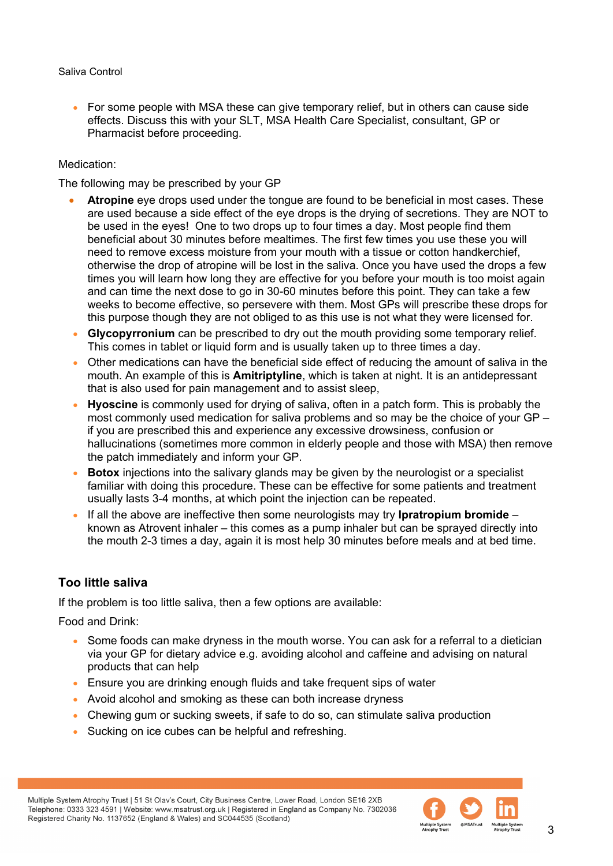• For some people with MSA these can give temporary relief, but in others can cause side effects. Discuss this with your SLT, MSA Health Care Specialist, consultant, GP or Pharmacist before proceeding.

#### Medication:

The following may be prescribed by your GP

- **Atropine** eye drops used under the tongue are found to be beneficial in most cases. These are used because a side effect of the eye drops is the drying of secretions. They are NOT to be used in the eyes! One to two drops up to four times a day. Most people find them beneficial about 30 minutes before mealtimes. The first few times you use these you will need to remove excess moisture from your mouth with a tissue or cotton handkerchief, otherwise the drop of atropine will be lost in the saliva. Once you have used the drops a few times you will learn how long they are effective for you before your mouth is too moist again and can time the next dose to go in 30-60 minutes before this point. They can take a few weeks to become effective, so persevere with them. Most GPs will prescribe these drops for this purpose though they are not obliged to as this use is not what they were licensed for.
- **Glycopyrronium** can be prescribed to dry out the mouth providing some temporary relief. This comes in tablet or liquid form and is usually taken up to three times a day.
- Other medications can have the beneficial side effect of reducing the amount of saliva in the mouth. An example of this is **Amitriptyline**, which is taken at night. It is an antidepressant that is also used for pain management and to assist sleep,
- **Hyoscine** is commonly used for drying of saliva, often in a patch form. This is probably the most commonly used medication for saliva problems and so may be the choice of your GP – if you are prescribed this and experience any excessive drowsiness, confusion or hallucinations (sometimes more common in elderly people and those with MSA) then remove the patch immediately and inform your GP.
- **Botox** injections into the salivary glands may be given by the neurologist or a specialist familiar with doing this procedure. These can be effective for some patients and treatment usually lasts 3-4 months, at which point the injection can be repeated.
- If all the above are ineffective then some neurologists may try **Ipratropium bromide**  known as Atrovent inhaler – this comes as a pump inhaler but can be sprayed directly into the mouth 2-3 times a day, again it is most help 30 minutes before meals and at bed time.

# **Too little saliva**

If the problem is too little saliva, then a few options are available:

Food and Drink:

- Some foods can make dryness in the mouth worse. You can ask for a referral to a dietician via your GP for dietary advice e.g. avoiding alcohol and caffeine and advising on natural products that can help
- Ensure you are drinking enough fluids and take frequent sips of water
- Avoid alcohol and smoking as these can both increase dryness
- Chewing gum or sucking sweets, if safe to do so, can stimulate saliva production
- Sucking on ice cubes can be helpful and refreshing.

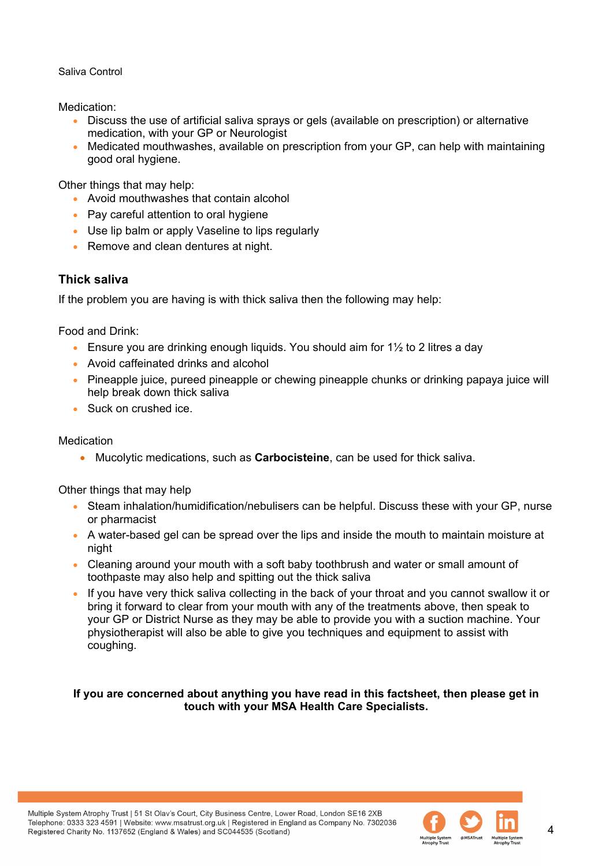Medication:

- Discuss the use of artificial saliva sprays or gels (available on prescription) or alternative medication, with your GP or Neurologist
- Medicated mouthwashes, available on prescription from your GP, can help with maintaining good oral hygiene.

Other things that may help:

- Avoid mouthwashes that contain alcohol
- Pay careful attention to oral hygiene
- Use lip balm or apply Vaseline to lips regularly
- Remove and clean dentures at night.

# **Thick saliva**

If the problem you are having is with thick saliva then the following may help:

Food and Drink:

- Ensure you are drinking enough liquids. You should aim for  $1\frac{1}{2}$  to 2 litres a day
- Avoid caffeinated drinks and alcohol
- Pineapple juice, pureed pineapple or chewing pineapple chunks or drinking papaya juice will help break down thick saliva
- Suck on crushed ice.

#### **Medication**

• Mucolytic medications, such as **Carbocisteine**, can be used for thick saliva.

Other things that may help

- Steam inhalation/humidification/nebulisers can be helpful. Discuss these with your GP, nurse or pharmacist
- A water-based gel can be spread over the lips and inside the mouth to maintain moisture at night
- Cleaning around your mouth with a soft baby toothbrush and water or small amount of toothpaste may also help and spitting out the thick saliva
- If you have very thick saliva collecting in the back of your throat and you cannot swallow it or bring it forward to clear from your mouth with any of the treatments above, then speak to your GP or District Nurse as they may be able to provide you with a suction machine. Your physiotherapist will also be able to give you techniques and equipment to assist with coughing.

#### **If you are concerned about anything you have read in this factsheet, then please get in touch with your MSA Health Care Specialists.**